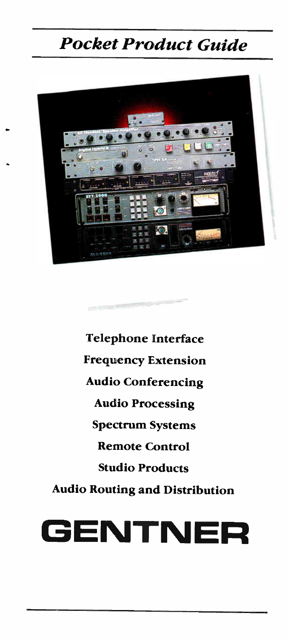# Pocket Product Guide



Telephone Interface Frequency Extension Audio Conferencing Audio Processing Spectrum Systems Remote Control Studio Products Audio Routing and Distribution

# **GENTNE**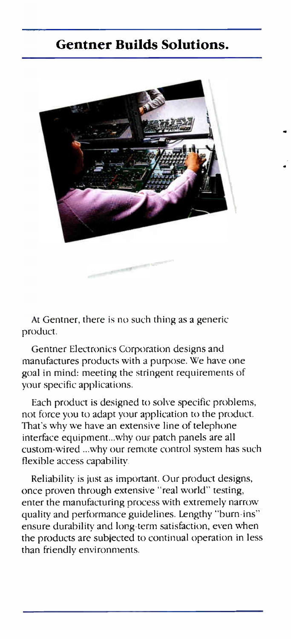### Gentner Builds Solutions.



At Gentner, there is no such thing as a generic product.

Gentner Electronics Corporation designs and manufactures products with a purpose. We have one goal in mind: meeting the stringent requirements of your specific applications.

Each product is designed to solve specific problems, not force you to adapt your application to the product. That's why we have an extensive line of telephone interface equipment...why our patch panels are all custom-wired ...why our remote control system has such flexible access capability.

Reliability is just as important. Our product designs, once proven through extensive "real world" testing, enter the manufacturing process with extremely narrow quality and performance guidelines. Lengthy "burn-ins" ensure durability and long-term satisfaction, even when the products are subjected to continual operation in less than friendly environments.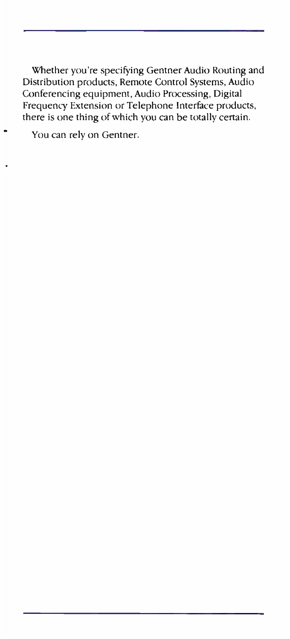Whether you're specifying Gentner Audio Routing and Distribution products, Remote Control Systems, Audio Conferencing equipment, Audio Processing, Digital Frequency Extension or Telephone Interface products, there is one thing of which you can be totally certain.

You can rely on Gentner.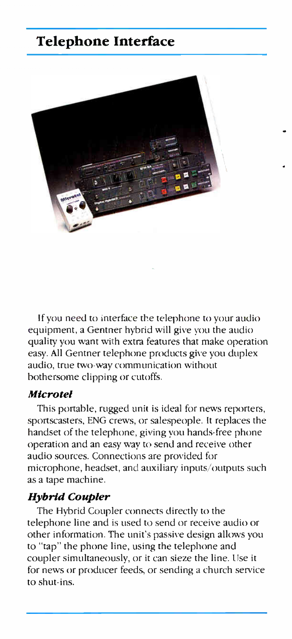### Telephone Interface



If you need to interface the telephone to your audio equipment, a Gentner hybrid will give you the audio quality you want with extra features that make operation easy. All Gentner telephone products give you duplex audio, true two-way communication without bothersome clipping or cutoffs.

#### Microtel

This portable, rugged unit is ideal for news reporters, sportscasters, ENG crews, or salespeople. It replaces the handset of the telephone, giving you hands-free phone operation and an easy way to send and receive other audio sources. Connections are provided for microphone, headset, and auxiliary inputs/outputs such as a tape machine.

### Hybrid Coupler

The Hybrid Coupler connects directly to the telephone line and is used to send or receive audio or other information. The unit's passive design allows you to "tap" the phone line, using the telephone and coupler simultaneously, or it can sieze the line. Use it for news or producer feeds, or sending a church service to shut-ins.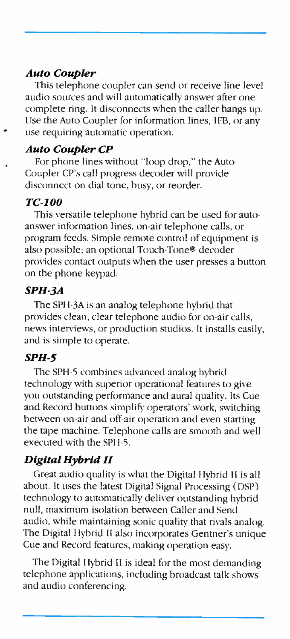### Auto Coupler

This telephone coupler can send or receive line level audio sources and will automatically answer after one complete ring. It disconnects when the caller hangs up. Use the Auto Coupler for information lines, IFB, or any use requiring automatic operation.

### Auto Coupler CP

For phone lines without "loop drop," the Auto Coupler CP's call progress decoder will provide disconnect on dial tone, busy, or reorder.

### TC-100

This versatile telephone hybrid can be used for autoanswer information lines, on-air telephone calls, or program feeds. Simple remote control of equipment is also possible; an optional Touch-Tone® decoder provides contact outputs when the user presses a button on the phone keypad.

### SPH-3A

The SPH-3A is an analog telephone hybrid that provides clean, clear telephone audio for on-air calls, news interviews, or production studios. It installs easily, and is simple to operate.

### SPH-5

The SPH-5 combines advanced analog hybrid technology with superior operational features to give you outstanding performance and aural quality. Its Cue and Record buttons simplify operators' work, switching between on-air and off-air operation and even starting the tape machine. Telephone calls are smooth and well executed with the SPH-5.

### Digital Hybrid II

Great audio quality is what the Digital Hybrid II is all about. It uses the latest Digital Signal Processing (DSP) technology to automatically deliver outstanding hybrid null, maximum isolation between Caller and Send audio, while maintaining sonic quality that rivals analog. The Digital Hybrid II also incorporates Gentner's unique Cue and Record features, making operation easy.

The Digital Hybrid II is ideal for the most demanding telephone applications, including broadcast talk shows and audio conferencing.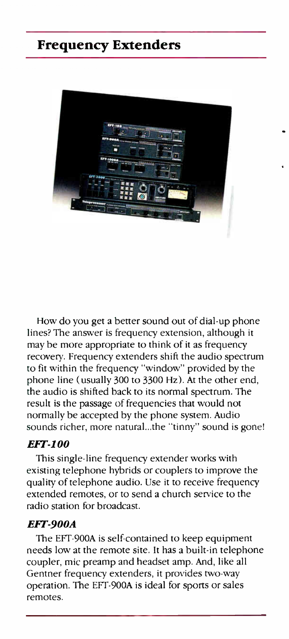### Frequency Extenders



How do you get a better sound out of dial-up phone lines? The answer is frequency extension, although it may be more appropriate to think of it as frequency recovery. Frequency extenders shift the audio spectrum to fit within the frequency "window" provided by the phone line (usually 300 to 3300 Hz). At the other end, the audio is shifted back to its normal spectrum. The result is the passage of frequencies that would not normally be accepted by the phone system. Audio sounds richer, more natural...the "tinny" sound is gone!

### EFT-100

This single-line frequency extender works with existing telephone hybrids or couplers to improve the quality of telephone audio. Use it to receive frequency extended remotes, or to send a church service to the radio station for broadcast.

### EFT-900A

The EFT-900A is self-contained to keep equipment needs low at the remote site. It has a built-in telephone coupler, mic preamp and headset amp. And, like all Gentner frequency extenders, it provides two-way operation. The EFT-900A is ideal for sports or sales remotes.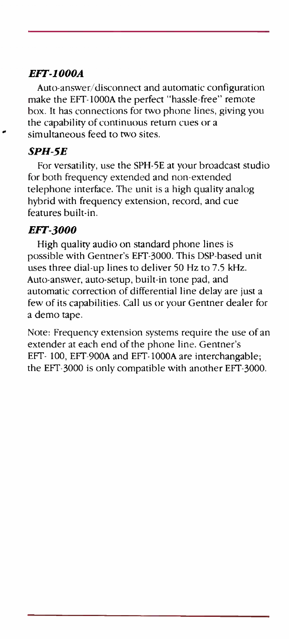### EFT-1000A

Auto-answer/disconnect and automatic configuration make the EFT-1000A the perfect "hassle-free" remote box. It has connections for two phone lines, giving you the capability of continuous return cues or a . simultaneous feed to two sites.

### SPH-5E

For versatility, use the SPH-5E at your broadcast studio for both frequency extended and non-extended telephone interface. The unit is a high quality analog hybrid with frequency extension, record, and cue features built-in.

### EFT-3000

High quality audio on standard phone lines is possible with Gentner's EFT-3000. This DSP-based unit uses three dial-up lines to deliver 50 Hz to 7.5 kHz. Auto-answer, auto-setup, built-in tone pad, and automatic correction of differential line delay are just a few of its capabilities. Call us or your Gentner dealer for a demo tape.

Note: Frequency extension systems require the use of an extender at each end of the phone line. Gentner's EFT- 100, EFT-900A and EFT-1000A are interchangable; the EFT-3000 is only compatible with another EFT-3000.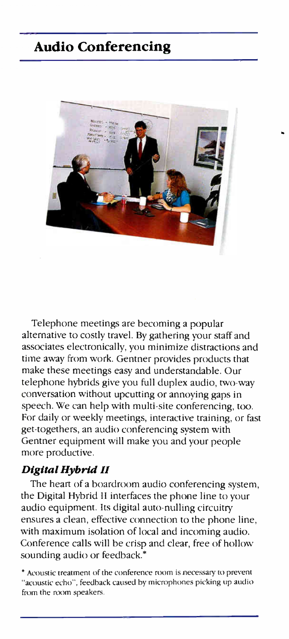### Audio Conferencing



Telephone meetings are becoming a popular alternative to costly travel. By gathering your staff and associates electronically, you minimize distractions and time away from work. Gentner provides products that make these meetings easy and understandable. Our telephone hybrids give you full duplex audio, two-way conversation without upcutting or annoying gaps in speech. We can help with multi-site conferencing, too. For daily or weekly meetings, interactive training, or fast get-togethers, an audio conferencing system with Gentner equipment will make you and your people more productive.

#### Digital Hybrid II

The heart of a boardroom audio conferencing system, the Digital Hybrid II interfaces the phone line to your audio equipment. Its digital auto-nulling circuitry ensures a clean, effective connection to the phone line, with maximum isolation of local and incoming audio. Conference calls will be crisp and clear, free of hollow sounding audio or feedback.<sup>\*</sup>

\* Acoustic treatment of the conference room is necessary to prevent "acoustic echo", feedback caused by microphones picking up audio from the room speakers.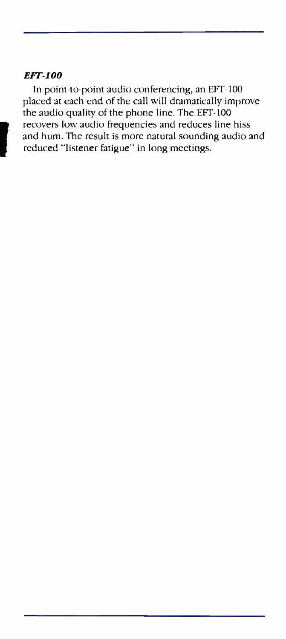#### EFT-100

In point-to-point audio conferencing, an EFT-100 placed at each end of the call will dramatically improve the audio quality of the phone line. The EFT-100 recovers low audio frequencies and reduces line hiss and hum. The result is more natural sounding audio and reduced "listener fatigue" in long meetings.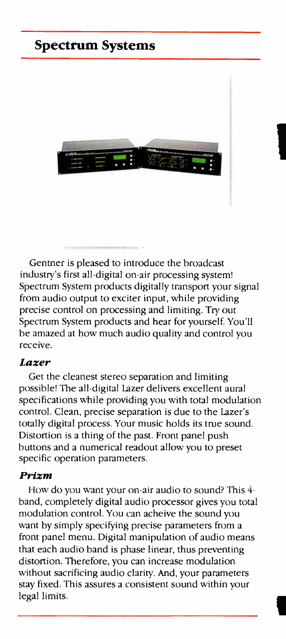### Spectrum Systems



1

I

Gentner is pleased to introduce the broadcast industry's first all-digital on-air processing system! Spectrum System products digitally transport your signal from audio output to exciter input, while providing precise control on processing and limiting. Try out Spectrum System products and hear for yourself. You'll be amazed at how much audio quality and control you receive.

#### Lazer

Get the cleanest stereo separation and limiting possible! The all-digital Lazer delivers excellent aural specifications while providing you with total modulation control. Clean, precise separation is due to the Lazer's totally digital process. Your music holds its true sound. Distortion is a thing of the past. Front panel push buttons and a numerical readout allow you to preset specific operation parameters.

### Prizm

How do you want your on-air audio to sound? This 4 band, completely digital audio processor gives you total modulation control. You can acheive the sound you want by simply specifying precise parameters from a front panel menu. Digital manipulation of audio means that each audio band is phase linear, thus preventing distortion. Therefore, you can increase modulation without sacrificing audio clarity. And, your parameters stay fixed. This assures a consistent sound within your legal limits.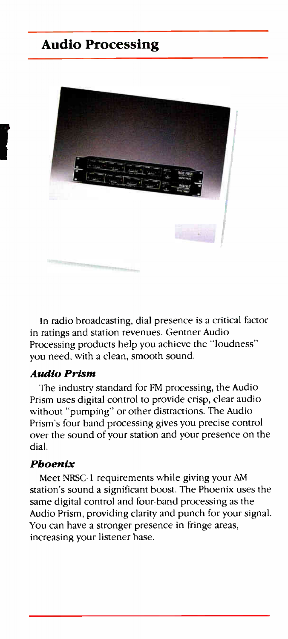### Audio Processing



In radio broadcasting, dial presence is a critical factor in ratings and station revenues. Gentner Audio Processing products help you achieve the "loudness" you need, with a clean, smooth sound.

### Audio Prism

The industry standard for FM processing, the Audio Prism uses digital control to provide crisp, clear audio without "pumping" or other distractions. The Audio Prism's four band processing gives you precise control over the sound of your station and your presence on the dial.

### Phoenix

Meet NRSC-1 requirements while giving your AM station's sound a significant boost. The Phoenix uses the same digital control and four-band processing as the Audio Prism, providing clarity and punch for your signal. You can have a stronger presence in fringe areas, increasing your listener base.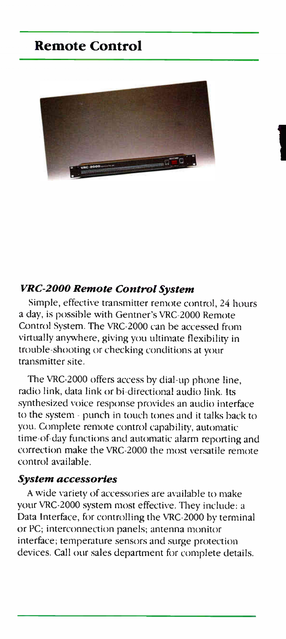### Remote Control



#### VRC-2000 Remote Control System

Simple, effective transmitter remote control, 24 hours a day, is possible with Gentner's VRC-2000 Remote Control System. The VRC-2000 can be accessed from virtually anywhere, giving you ultimate flexibility in trouble-shooting or checking conditions at your transmitter site.

The VRC-2000 offers access by dial-up phone line, radio link, data link or bi-directional audio link. Its synthesized voice response provides an audio interface to the system - punch in touch tones and it talks back to you. Complete remote control capability, automatic time-of-day functions and automatic alarm reporting and correction make the VRC-2000 the most versatile remote control available.

#### System accessories

A wide variety of accessories are available to make your VRC-2000 system most effective. They include: a Data Interface, for controlling the VRC-2000 by terminal or PC; interconnection panels; antenna monitor interface; temperature sensors and surge protection devices. Call our sales department for complete details.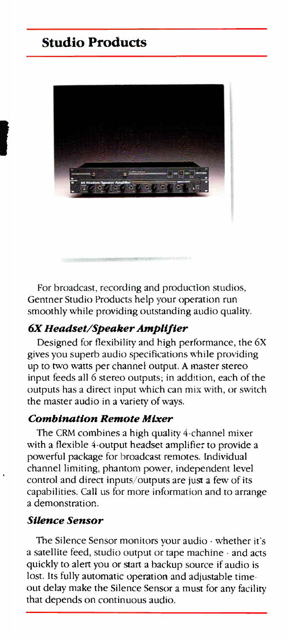### Studio Products



For broadcast, recording and production studios, Gentner Studio Products help your operation run smoothly while providing outstanding audio quality.

### 6X Headset/Speaker Amplifier

Designed for flexibility and high performance, the 6X gives you superb audio specifications while providing up to two watts per channel output. A master stereo input feeds all 6 stereo outputs; in addition, each of the outputs has a direct input which can mix with, or switch the master audio in a variety of ways.

### Combination Remote Mixer

The CRM combines a high quality 4-channel mixer with a flexible 4-output headset amplifier to provide a powerful package for broadcast remotes. Individual channel limiting, phantom power, independent level control and direct inputs/outputs are just a few of its capabilities. Call us for more information and to arrange a demonstration.

#### Silence Sensor

The Silence Sensor monitors your audio - whether it's a satellite feed, studio output or tape machine - and acts quickly to alert you or start a backup source if audio is lost. Its fully automatic operation and adjustable timeout delay make the Silence Sensor a must for any facility that depends on continuous audio.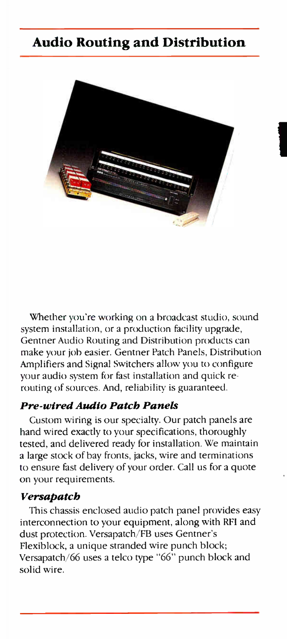### Audio Routing and Distribution



Whether you're working on a broadcast studio, sound system installation, or a production facility upgrade, Gentner Audio Routing and Distribution products can make your job easier. Gentner Patch Panels, Distribution Amplifiers and Signal Switchers allow you to configure your audio system for fast installation and quick rerouting of sources. And, reliability is guaranteed.

### Pre-wired Audio Patch Panels

Custom wiring is our specialty. Our patch panels are hand wired exactly to your specifications, thoroughly tested, and delivered ready for installation. We maintain a large stock of bay fronts, jacks, wire and terminations to ensure fast delivery of your order. Call us for a quote on your requirements.

#### Versapatch

This chassis enclosed audio patch panel provides easy interconnection to your equipment, along with RFI and dust protection. Versapatch/FB uses Gentner's Flexiblock, a unique stranded wire punch block; Versapatch/66 uses a telco type "66" punch block and solid wire.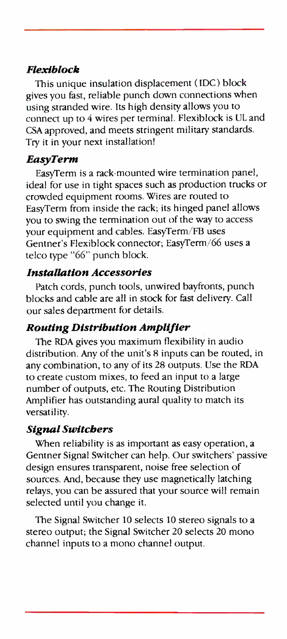### Flexiblock

This unique insulation displacement (IDC) block gives you fast, reliable punch down connections when using stranded wire. Its high density allows you to connect up to 4 wires per terminal. Flexiblock is UL and CSA approved, and meets stringent military standards. Try it in your next installation!

### EasyTerm

EasyTerm is a rack-mounted wire termination panel, ideal for use in tight spaces such as production trucks or crowded equipment rooms. Wires are routed to EasyTerm from inside the rack; its hinged panel allows you to swing the termination out of the way to access your equipment and cables. EasyTerm/FB uses Gentner's Flexiblock connector; EasyTerm/66 uses a telco type "66" punch block.

### Installation Accessories

Patch cords, punch tools, unwired bayfronts, punch blocks and cable are all in stock for fast delivery. Call our sales department for details.

### Routing Distribution Amplifier

The RDA gives you maximum flexibility in audio distribution. Any of the unit's 8 inputs can be routed, in any combination, to any of its 28 outputs. Use the RDA to create custom mixes, to feed an input to a large number of outputs, etc. The Routing Distribution Amplifier has outstanding aural quality to match its versatility.

### Signal Switcbers

When reliability is as important as easy operation, a Gentner Signal Switcher can help. Our switchers' passive design ensures transparent, noise free selection of sources. And, because they use magnetically latching relays, you can be assured that your source will remain selected until you change it.

The Signal Switcher 10 selects 10 stereo signals to a stereo output; the Signal Switcher 20 selects 20 mono channel inputs to a mono channel output.